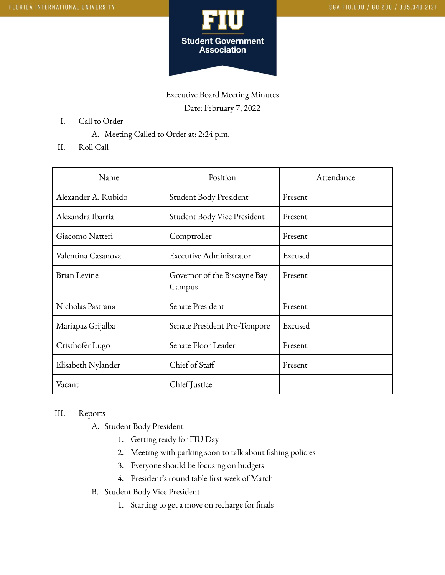

Executive Board Meeting Minutes Date: February 7, 2022

- I. Call to Order
	- A. Meeting Called to Order at: 2:24 p.m.
- II. Roll Call

| Name                | Position                               | Attendance |
|---------------------|----------------------------------------|------------|
| Alexander A. Rubido | Student Body President                 | Present    |
| Alexandra Ibarria   | Student Body Vice President            | Present    |
| Giacomo Natteri     | Comptroller                            | Present    |
| Valentina Casanova  | <b>Executive Administrator</b>         | Excused    |
| <b>Brian Levine</b> | Governor of the Biscayne Bay<br>Campus | Present    |
| Nicholas Pastrana   | Senate President                       | Present    |
| Mariapaz Grijalba   | Senate President Pro-Tempore           | Excused    |
| Cristhofer Lugo     | Senate Floor Leader                    | Present    |
| Elisabeth Nylander  | Chief of Staff                         | Present    |
| Vacant              | Chief Justice                          |            |

## III. Reports

- A. Student Body President
	- 1. Getting ready for FIU Day
	- 2. Meeting with parking soon to talk about fishing policies
	- 3. Everyone should be focusing on budgets
	- 4. President's round table first week of March
- B. Student Body Vice President
	- 1. Starting to get a move on recharge for finals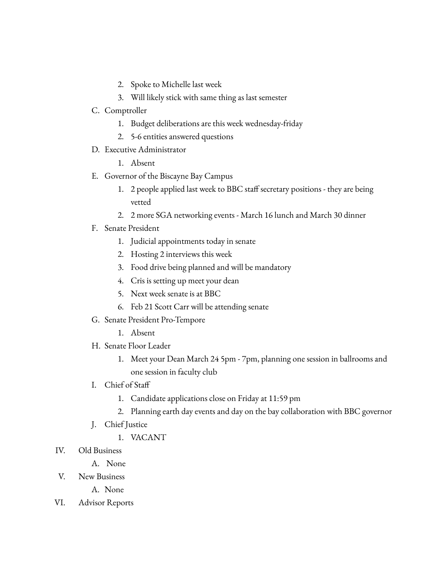- 2. Spoke to Michelle last week
- 3. Will likely stick with same thing as last semester
- C. Comptroller
	- 1. Budget deliberations are this week wednesday-friday
	- 2. 5-6 entities answered questions
- D. Executive Administrator
	- 1. Absent
- E. Governor of the Biscayne Bay Campus
	- 1. 2 people applied last week to BBC staff secretary positions they are being vetted
	- 2. 2 more SGA networking events March 16 lunch and March 30 dinner
- F. Senate President
	- 1. Judicial appointments today in senate
	- 2. Hosting 2 interviews this week
	- 3. Food drive being planned and will be mandatory
	- 4. Cris is setting up meet your dean
	- 5. Next week senate is at BBC
	- 6. Feb 21 Scott Carr will be attending senate
- G. Senate President Pro-Tempore
	- 1. Absent
- H. Senate Floor Leader
	- 1. Meet your Dean March 24 5pm 7pm, planning one session in ballrooms and one session in faculty club
- I. Chief of Staff
	- 1. Candidate applications close on Friday at 11:59 pm
	- 2. Planning earth day events and day on the bay collaboration with BBC governor
- J. Chief Justice
	- 1. VACANT
- IV. Old Business
	- A. None
- V. New Business
	- A. None
- VI. Advisor Reports